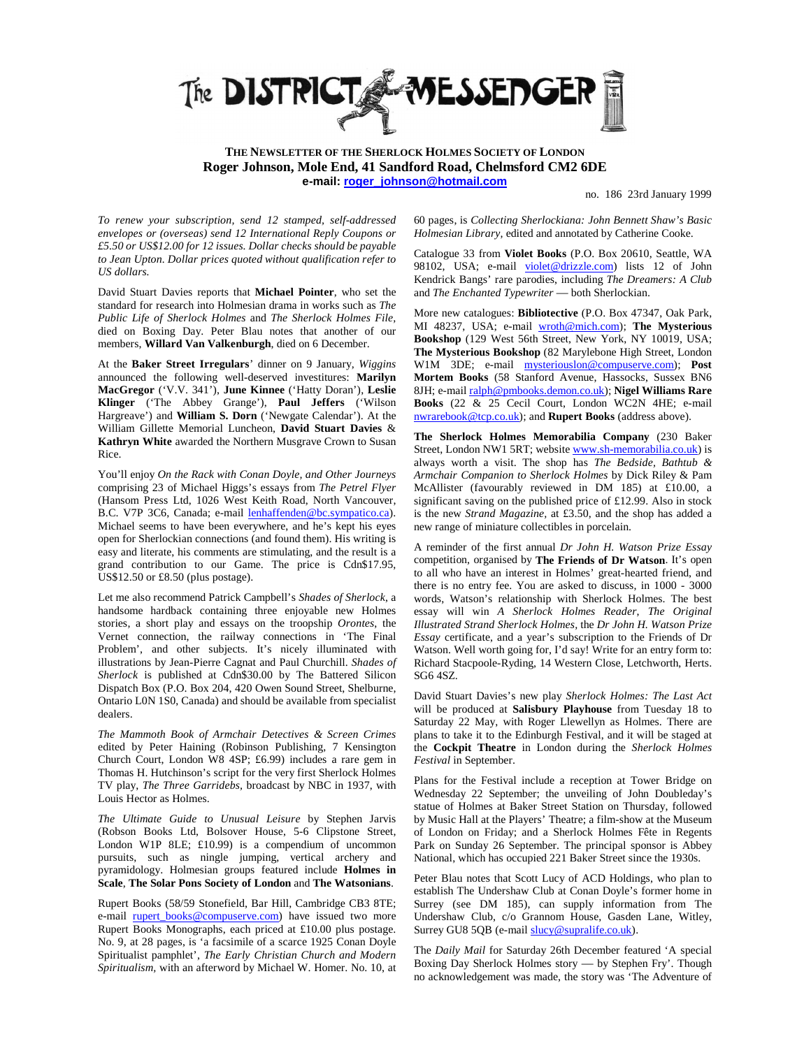

**THE NEWSLETTER OF THE SHERLOCK HOLMES SOCIETY OF LONDON Roger Johnson, Mole End, 41 Sandford Road, Chelmsford CM2 6DE e-mail: roger\_johnson@hotmail.com**

no. 186 23rd January 1999

*To renew your subscription, send 12 stamped, self-addressed envelopes or (overseas) send 12 International Reply Coupons or £5.50 or US\$12.00 for 12 issues. Dollar checks should be payable to Jean Upton. Dollar prices quoted without qualification refer to US dollars.*

David Stuart Davies reports that **Michael Pointer**, who set the standard for research into Holmesian drama in works such as *The Public Life of Sherlock Holmes* and *The Sherlock Holmes File,* died on Boxing Day. Peter Blau notes that another of our members, **Willard Van Valkenburgh**, died on 6 December.

At the **Baker Street Irregulars**' dinner on 9 January, *Wiggins* announced the following well-deserved investitures: **Marilyn MacGregor** ('V.V. 341'), **June Kinnee** ('Hatty Doran'), **Leslie Klinger** ('The Abbey Grange'), **Paul Jeffers** ('Wilson Hargreave') and **William S. Dorn** ('Newgate Calendar'). At the William Gillette Memorial Luncheon, **David Stuart Davies** & **Kathryn White** awarded the Northern Musgrave Crown to Susan Rice.

You'll enjoy *On the Rack with Conan Doyle, and Other Journeys* comprising 23 of Michael Higgs's essays from *The Petrel Flyer*  (Hansom Press Ltd, 1026 West Keith Road, North Vancouver, B.C. V7P 3C6, Canada; e-mail lenhaffenden@bc.sympatico.ca). Michael seems to have been everywhere, and he's kept his eyes open for Sherlockian connections (and found them). His writing is easy and literate, his comments are stimulating, and the result is a grand contribution to our Game. The price is Cdn\$17.95, US\$12.50 or £8.50 (plus postage).

Let me also recommend Patrick Campbell's *Shades of Sherlock*, a handsome hardback containing three enjoyable new Holmes stories, a short play and essays on the troopship *Orontes*, the Vernet connection, the railway connections in 'The Final Problem', and other subjects. It's nicely illuminated with illustrations by Jean-Pierre Cagnat and Paul Churchill. *Shades of Sherlock* is published at Cdn\$30.00 by The Battered Silicon Dispatch Box (P.O. Box 204, 420 Owen Sound Street, Shelburne, Ontario L0N 1S0, Canada) and should be available from specialist dealers.

*The Mammoth Book of Armchair Detectives & Screen Crimes* edited by Peter Haining (Robinson Publishing, 7 Kensington Church Court, London W8 4SP; £6.99) includes a rare gem in Thomas H. Hutchinson's script for the very first Sherlock Holmes TV play, *The Three Garridebs,* broadcast by NBC in 1937, with Louis Hector as Holmes.

*The Ultimate Guide to Unusual Leisure* by Stephen Jarvis (Robson Books Ltd, Bolsover House, 5-6 Clipstone Street, London W1P 8LE; £10.99) is a compendium of uncommon pursuits, such as ningle jumping, vertical archery and pyramidology. Holmesian groups featured include **Holmes in Scale**, **The Solar Pons Society of London** and **The Watsonians**.

Rupert Books (58/59 Stonefield, Bar Hill, Cambridge CB3 8TE; e-mail **rupert\_books@compuserve.com**) have issued two more Rupert Books Monographs, each priced at £10.00 plus postage. No. 9, at 28 pages, is 'a facsimile of a scarce 1925 Conan Doyle Spiritualist pamphlet', *The Early Christian Church and Modern Spiritualism,* with an afterword by Michael W. Homer. No. 10, at 60 pages, is *Collecting Sherlockiana: John Bennett Shaw's Basic Holmesian Library,* edited and annotated by Catherine Cooke.

Catalogue 33 from **Violet Books** (P.O. Box 20610, Seattle, WA 98102, USA; e-mail violet@drizzle.com) lists 12 of John Kendrick Bangs' rare parodies, including *The Dreamers: A Club* and *The Enchanted Typewriter* — both Sherlockian.

More new catalogues: **Bibliotective** (P.O. Box 47347, Oak Park, MI 48237, USA; e-mail wroth@mich.com); **The Mysterious Bookshop** (129 West 56th Street, New York, NY 10019, USA; **The Mysterious Bookshop** (82 Marylebone High Street, London W1M 3DE; e-mail mysteriouslon@compuserve.com); **Post Mortem Books** (58 Stanford Avenue, Hassocks, Sussex BN6 8JH; e-mail ralph@pmbooks.demon.co.uk); **Nigel Williams Rare Books** (22 & 25 Cecil Court, London WC2N 4HE; e-mail nwrarebook@tcp.co.uk); and **Rupert Books** (address above).

**The Sherlock Holmes Memorabilia Company** (230 Baker Street, London NW1 5RT; website www.sh-memorabilia.co.uk) is always worth a visit. The shop has *The Bedside, Bathtub & Armchair Companion to Sherlock Holmes* by Dick Riley & Pam McAllister (favourably reviewed in DM 185) at £10.00, a significant saving on the published price of £12.99. Also in stock is the new *Strand Magazine,* at £3.50, and the shop has added a new range of miniature collectibles in porcelain.

A reminder of the first annual *Dr John H. Watson Prize Essay* competition, organised by **The Friends of Dr Watson**. It's open to all who have an interest in Holmes' great-hearted friend, and there is no entry fee. You are asked to discuss, in 1000 - 3000 words, Watson's relationship with Sherlock Holmes. The best essay will win *A Sherlock Holmes Reader*, *The Original Illustrated Strand Sherlock Holmes,* the *Dr John H. Watson Prize Essay* certificate, and a year's subscription to the Friends of Dr Watson. Well worth going for, I'd say! Write for an entry form to: Richard Stacpoole-Ryding, 14 Western Close, Letchworth, Herts. SG6 4SZ.

David Stuart Davies's new play *Sherlock Holmes: The Last Act* will be produced at **Salisbury Playhouse** from Tuesday 18 to Saturday 22 May, with Roger Llewellyn as Holmes. There are plans to take it to the Edinburgh Festival, and it will be staged at the **Cockpit Theatre** in London during the *Sherlock Holmes Festival* in September.

Plans for the Festival include a reception at Tower Bridge on Wednesday 22 September; the unveiling of John Doubleday's statue of Holmes at Baker Street Station on Thursday, followed by Music Hall at the Players' Theatre; a film-show at the Museum of London on Friday; and a Sherlock Holmes Fête in Regents Park on Sunday 26 September. The principal sponsor is Abbey National, which has occupied 221 Baker Street since the 1930s.

Peter Blau notes that Scott Lucy of ACD Holdings, who plan to establish The Undershaw Club at Conan Doyle's former home in Surrey (see DM 185), can supply information from The Undershaw Club, c/o Grannom House, Gasden Lane, Witley, Surrey GU8 5QB (e-mail slucy@supralife.co.uk).

The *Daily Mail* for Saturday 26th December featured 'A special Boxing Day Sherlock Holmes story — by Stephen Fry'. Though no acknowledgement was made, the story was 'The Adventure of